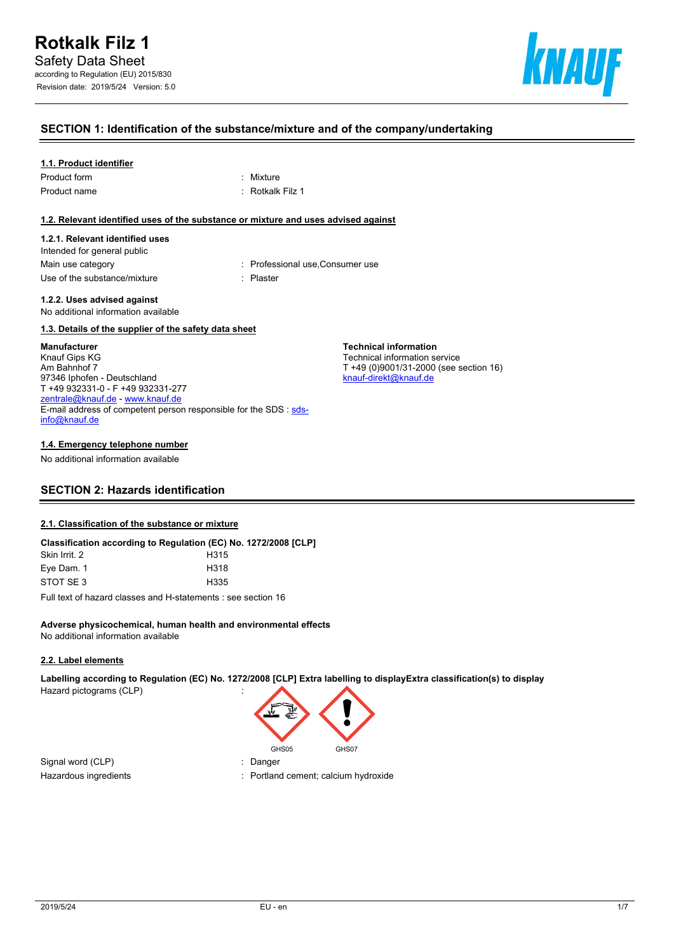

# **SECTION 1: Identification of the substance/mixture and of the company/undertaking**

### **1.1. Product identifier**

| Product form |  |
|--------------|--|
| Product name |  |

: Mixture : Rotkalk Filz 1

### **1.2. Relevant identified uses of the substance or mixture and uses advised against**

### **1.2.1. Relevant identified uses**

Intended for general public Main use category **interest and the Consumer Consumer use** : Professional use, Consumer use Use of the substance/mixture in the substance in the set of the substance of the substance in the set of the s

**Technical information** Technical information service

[knauf-direkt@knauf.de](mailto:knauf-direkt@knauf.de)

T +49 (0)9001/31-2000 (see section 16)

#### **1.2.2. Uses advised against** No additional information available

### **1.3. Details of the supplier of the safety data sheet**

### **Manufacturer**

Knauf Gips KG Am Bahnhof 7 97346 Iphofen - Deutschland T +49 932331-0 - F +49 932331-277 [zentrale@knauf.de](mailto:zentrale@knauf.de) - <www.knauf.de> E-mail address of competent person responsible for the SDS : [sds](mailto:sds-info@knauf.de)[info@knauf.de](mailto:sds-info@knauf.de)

### **1.4. Emergency telephone number**

No additional information available

# **SECTION 2: Hazards identification**

### **2.1. Classification of the substance or mixture**

|               | Classification according to Regulation (EC) No. 1272/2008 [CLP] |
|---------------|-----------------------------------------------------------------|
| Skin Irrit. 2 | H <sub>315</sub>                                                |
| Eye Dam. 1    | H318                                                            |
| STOT SE3      | H335                                                            |
|               | Full took of begand electric and Historically case as office 40 |

Full text of hazard classes and H-statements : see section 16

### **Adverse physicochemical, human health and environmental effects** No additional information available

### **2.2. Label elements**

**Labelling according to Regulation (EC) No. 1272/2008 [CLP] Extra labelling to displayExtra classification(s) to display** Hazard pictograms (CLP) :



Signal word (CLP) : Danger

- 
- Hazardous ingredients in the state of the control of the Portland cement; calcium hydroxide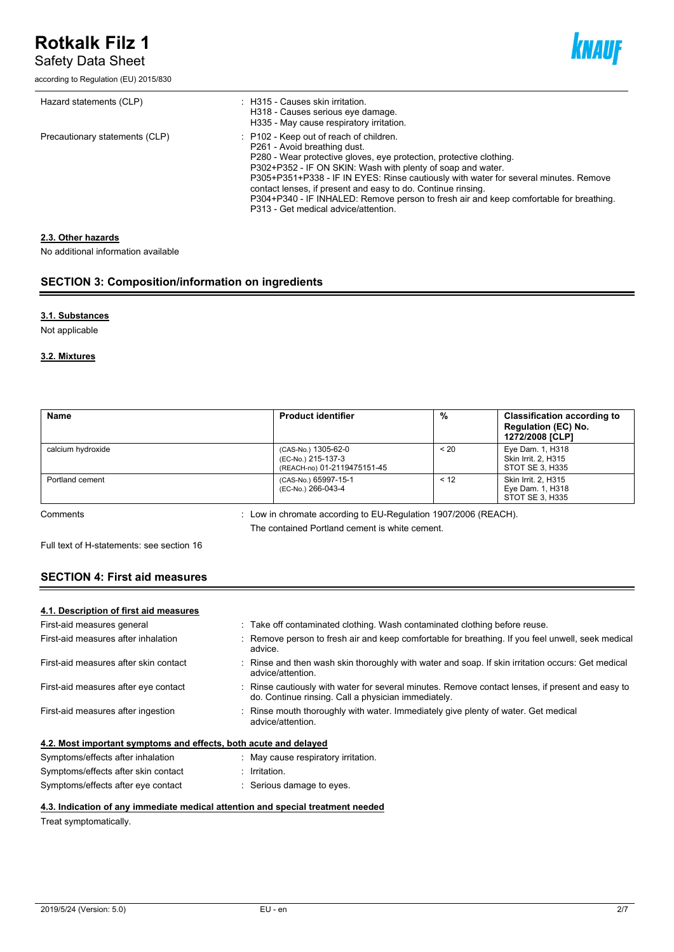# **Rotkalk Filz 1**

Safety Data Sheet

according to Regulation (EU) 2015/830



| Hazard statements (CLP)        | : H315 - Causes skin irritation.<br>H318 - Causes serious eye damage.<br>H335 - May cause respiratory irritation.                                                                                                                                                                                                                                                                                                                                                                                     |
|--------------------------------|-------------------------------------------------------------------------------------------------------------------------------------------------------------------------------------------------------------------------------------------------------------------------------------------------------------------------------------------------------------------------------------------------------------------------------------------------------------------------------------------------------|
| Precautionary statements (CLP) | P102 - Keep out of reach of children.<br>P261 - Avoid breathing dust.<br>P280 - Wear protective gloves, eye protection, protective clothing.<br>P302+P352 - IF ON SKIN: Wash with plenty of soap and water.<br>P305+P351+P338 - IF IN EYES: Rinse cautiously with water for several minutes. Remove<br>contact lenses, if present and easy to do. Continue rinsing.<br>P304+P340 - IF INHALED: Remove person to fresh air and keep comfortable for breathing.<br>P313 - Get medical advice/attention. |

# **2.3. Other hazards**

No additional information available

# **SECTION 3: Composition/information on ingredients**

# **3.1. Substances**

Not applicable

# **3.2. Mixtures**

| <b>Name</b>       | <b>Product identifier</b>                                                | %       | <b>Classification according to</b><br>Regulation (EC) No.<br>1272/2008 [CLP] |
|-------------------|--------------------------------------------------------------------------|---------|------------------------------------------------------------------------------|
| calcium hydroxide | (CAS-No.) 1305-62-0<br>(EC-No.) 215-137-3<br>(REACH-no) 01-2119475151-45 | $~<$ 20 | Eye Dam. 1, H318<br><b>Skin Irrit. 2. H315</b><br>STOT SE 3, H335            |
| Portland cement   | (CAS-No.) 65997-15-1<br>(EC-No.) 266-043-4                               | < 12    | Skin Irrit. 2, H315<br>Eye Dam. 1, H318<br>STOT SE 3, H335                   |

Comments : Low in chromate according to EU-Regulation 1907/2006 (REACH). The contained Portland cement is white cement.

Full text of H-statements: see section 16

# **SECTION 4: First aid measures**

### **4.1. Description of first aid measures**

| : Take off contaminated clothing. Wash contaminated clothing before reuse.                                                                              |
|---------------------------------------------------------------------------------------------------------------------------------------------------------|
| Remove person to fresh air and keep comfortable for breathing. If you feel unwell, seek medical<br>advice.                                              |
| : Rinse and then wash skin thoroughly with water and soap. If skin irritation occurs: Get medical<br>advice/attention.                                  |
| : Rinse cautiously with water for several minutes. Remove contact lenses, if present and easy to<br>do. Continue rinsing. Call a physician immediately. |
| : Rinse mouth thoroughly with water. Immediately give plenty of water. Get medical<br>advice/attention.                                                 |
| 4.2. Most important symptoms and effects, both acute and delayed                                                                                        |
| May cause respiratory irritation.                                                                                                                       |
| Irritation.                                                                                                                                             |
|                                                                                                                                                         |

# Symptoms/effects after eye contact : Serious damage to eyes.

# **4.3. Indication of any immediate medical attention and special treatment needed**

Treat symptomatically.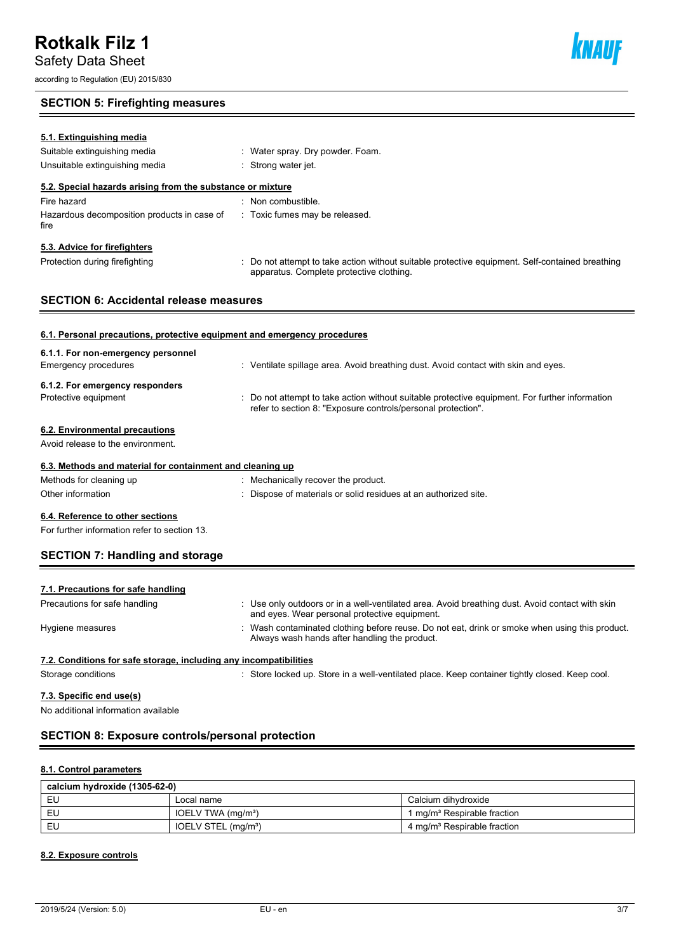Safety Data Sheet

according to Regulation (EU) 2015/830

# **SECTION 5: Firefighting measures**

| 5.1. Extinguishing media                                                 |                                                                                                                                             |
|--------------------------------------------------------------------------|---------------------------------------------------------------------------------------------------------------------------------------------|
| Suitable extinguishing media                                             | : Water spray. Dry powder. Foam.                                                                                                            |
| Unsuitable extinguishing media                                           | : Strong water jet.                                                                                                                         |
| 5.2. Special hazards arising from the substance or mixture               |                                                                                                                                             |
| Fire hazard                                                              | : Non combustible.                                                                                                                          |
| Hazardous decomposition products in case of<br>fire                      | : Toxic fumes may be released.                                                                                                              |
| 5.3. Advice for firefighters                                             |                                                                                                                                             |
| Protection during firefighting                                           | : Do not attempt to take action without suitable protective equipment. Self-contained breathing<br>apparatus. Complete protective clothing. |
| <b>SECTION 6: Accidental release measures</b>                            |                                                                                                                                             |
|                                                                          |                                                                                                                                             |
| 6.1. Personal precautions, protective equipment and emergency procedures |                                                                                                                                             |
| 6.1.1. For non-emergency personnel                                       |                                                                                                                                             |
| Emergency procedures                                                     | : Ventilate spillage area. Avoid breathing dust. Avoid contact with skin and eyes.                                                          |

refer to section 8: "Exposure controls/personal protection".

### **6.1.2. For emergency responders**

Protective equipment **interprotective equipment** equipment information

### **6.2. Environmental precautions**

Avoid release to the environment.

### **6.3. Methods and material for containment and cleaning up**

| : Mechanically recover the product.                             |
|-----------------------------------------------------------------|
| : Dispose of materials or solid residues at an authorized site. |
|                                                                 |

# **6.4. Reference to other sections**

For further information refer to section 13.

# **SECTION 7: Handling and storage**

| 7.1. Precautions for safe handling                                |                                                                                                                                                  |
|-------------------------------------------------------------------|--------------------------------------------------------------------------------------------------------------------------------------------------|
| Precautions for safe handling                                     | : Use only outdoors or in a well-ventilated area. Avoid breathing dust. Avoid contact with skin<br>and eyes. Wear personal protective equipment. |
| Hygiene measures                                                  | Wash contaminated clothing before reuse. Do not eat, drink or smoke when using this product.<br>Always wash hands after handling the product.    |
| 7.2. Conditions for safe storage, including any incompatibilities |                                                                                                                                                  |
| Storage conditions                                                | Store locked up. Store in a well-ventilated place. Keep container tightly closed. Keep cool.                                                     |

# **7.3. Specific end use(s)**

No additional information available

# **SECTION 8: Exposure controls/personal protection**

### **8.1. Control parameters**

| calcium hydroxide (1305-62-0) |                                 |                                         |  |  |
|-------------------------------|---------------------------------|-----------------------------------------|--|--|
| EU                            | Local name                      | Calcium dihvdroxide                     |  |  |
| EU                            | IOELV TWA (mg/m <sup>3</sup> )  | 1 mg/m <sup>3</sup> Respirable fraction |  |  |
| EU                            | IOELV STEL (mg/m <sup>3</sup> ) | 4 mg/m <sup>3</sup> Respirable fraction |  |  |

# **8.2. Exposure controls**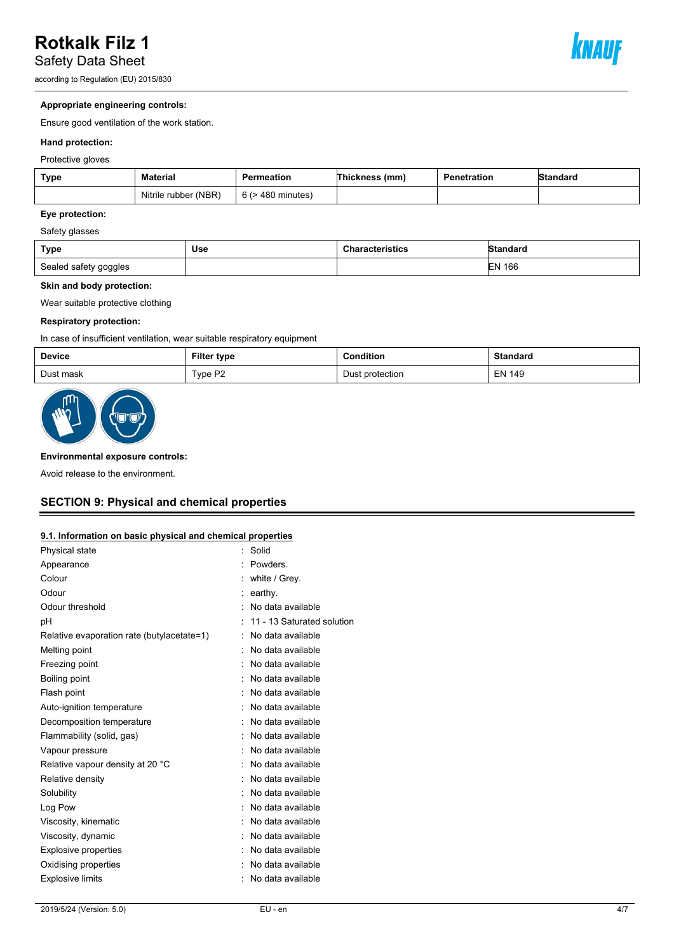# **Rotkalk Filz 1**

Safety Data Sheet

according to Regulation (EU) 2015/830



# **Appropriate engineering controls:**

Ensure good ventilation of the work station.

### **Hand protection:**

Protective gloves

| <b>Type</b> | <b>Material</b>      | Permeation        | Thickness (mm) | Penetration | <b>Standard</b> |
|-------------|----------------------|-------------------|----------------|-------------|-----------------|
|             | Nitrile rubber (NBR) | 6 (> 480 minutes) |                |             |                 |

# **Eye protection:**

### Safety glasses

| <b>Type</b>           | Use | <b>Characteristics</b> | IStandard |
|-----------------------|-----|------------------------|-----------|
| Sealed safety goggles |     |                        | 166<br>EN |

### **Skin and body protection:**

Wear suitable protective clothing

### **Respiratory protection:**

In case of insufficient ventilation, wear suitable respiratory equipment

| <b>Device</b> | <b>Filter type</b> | Condition<br>.       | <b>Standard</b> |
|---------------|--------------------|----------------------|-----------------|
| Dust mask     | Type P2            | : protection<br>Dust | <b>EN 149</b>   |



### **Environmental exposure controls:**

Avoid release to the environment.

# **SECTION 9: Physical and chemical properties**

# **9.1. Information on basic physical and chemical properties**

| Physical state                             | Solid                      |
|--------------------------------------------|----------------------------|
| Appearance                                 | <b>Powders</b>             |
| Colour                                     | white / Grey.              |
| Odour                                      | earthy.                    |
| Odour threshold                            | No data available          |
| рH                                         | 11 - 13 Saturated solution |
| Relative evaporation rate (butylacetate=1) | No data available          |
| Melting point                              | No data available          |
| Freezing point                             | : No data available        |
| Boiling point                              | No data available          |
| Flash point                                | : No data available        |
| Auto-ignition temperature                  | No data available          |
| Decomposition temperature                  | No data available          |
| Flammability (solid, gas)                  | No data available          |
| Vapour pressure                            | No data available          |
| Relative vapour density at 20 °C           | No data available          |
| Relative density                           | No data available          |
| Solubility                                 | No data available          |
| Log Pow                                    | No data available          |
| Viscosity, kinematic                       | No data available          |
| Viscosity, dynamic                         | No data available          |
| <b>Explosive properties</b>                | No data available          |
| Oxidising properties                       | No data available          |
| <b>Explosive limits</b>                    | No data available          |
|                                            |                            |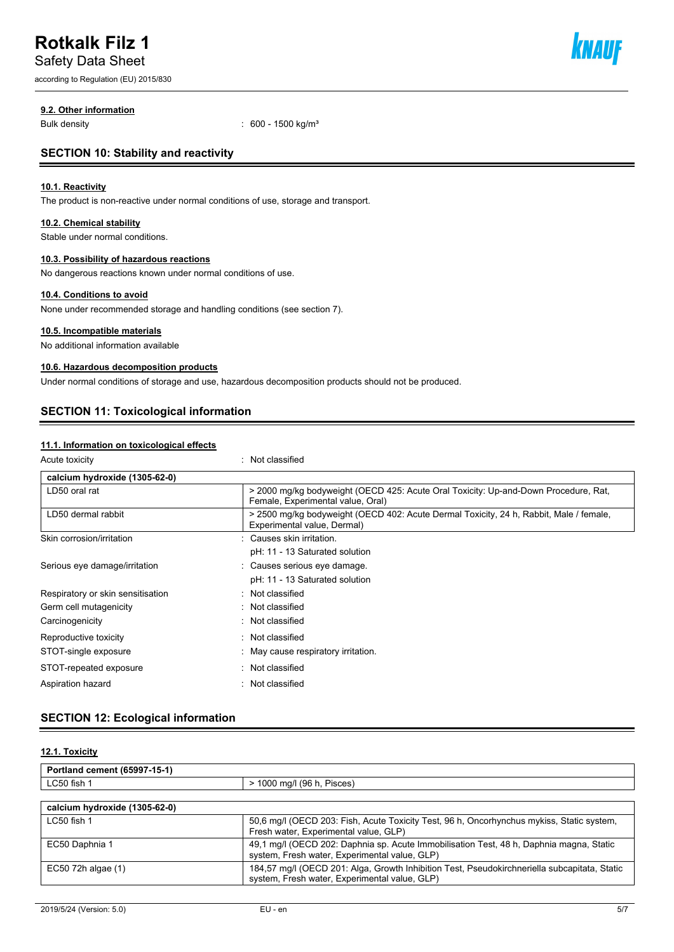# **Rotkalk Filz 1**

Safety Data Sheet

according to Regulation (EU) 2015/830



### **9.2. Other information**

Bulk density : 600 - 1500 kg/m<sup>3</sup>

# **SECTION 10: Stability and reactivity**

### **10.1. Reactivity**

The product is non-reactive under normal conditions of use, storage and transport.

### **10.2. Chemical stability**

Stable under normal conditions.

### **10.3. Possibility of hazardous reactions**

No dangerous reactions known under normal conditions of use.

# **10.4. Conditions to avoid**

None under recommended storage and handling conditions (see section 7).

### **10.5. Incompatible materials**

No additional information available

# **10.6. Hazardous decomposition products**

Under normal conditions of storage and use, hazardous decomposition products should not be produced.

# **SECTION 11: Toxicological information**

### **11.1. Information on toxicological effects**

: Not classified

| calcium hydroxide (1305-62-0)     |                                                                                                                          |
|-----------------------------------|--------------------------------------------------------------------------------------------------------------------------|
| LD50 oral rat                     | > 2000 mg/kg bodyweight (OECD 425: Acute Oral Toxicity: Up-and-Down Procedure, Rat,<br>Female, Experimental value, Oral) |
| LD50 dermal rabbit                | > 2500 mg/kg bodyweight (OECD 402: Acute Dermal Toxicity, 24 h, Rabbit, Male / female,<br>Experimental value, Dermal)    |
| Skin corrosion/irritation         | : Causes skin irritation.                                                                                                |
|                                   | pH: 11 - 13 Saturated solution                                                                                           |
| Serious eye damage/irritation     | : Causes serious eye damage.                                                                                             |
|                                   | pH: 11 - 13 Saturated solution                                                                                           |
| Respiratory or skin sensitisation | : Not classified                                                                                                         |
| Germ cell mutagenicity            | : Not classified                                                                                                         |
| Carcinogenicity                   | : Not classified                                                                                                         |
| Reproductive toxicity             | : Not classified                                                                                                         |
| STOT-single exposure              | May cause respiratory irritation.                                                                                        |
| STOT-repeated exposure            | : Not classified                                                                                                         |
| Aspiration hazard                 | : Not classified                                                                                                         |

# **SECTION 12: Ecological information**

# **12.1. Toxicity**

| Portland cement (65997-15-1) |                                   |
|------------------------------|-----------------------------------|
| LC50 fish                    | Pisces<br>) ma/l (96 h. I<br>1000 |
|                              |                                   |

| calcium hydroxide (1305-62-0) |                                                                                                                                               |
|-------------------------------|-----------------------------------------------------------------------------------------------------------------------------------------------|
| LC50 fish 1                   | 50.6 mg/l (OECD 203: Fish, Acute Toxicity Test, 96 h, Oncorhynchus mykiss, Static system,<br>Fresh water, Experimental value, GLP)            |
| EC50 Daphnia 1                | 49.1 mg/l (OECD 202: Daphnia sp. Acute Immobilisation Test, 48 h, Daphnia magna, Static<br>system, Fresh water, Experimental value, GLP)      |
| $EC50$ 72h algae $(1)$        | 184,57 mg/l (OECD 201: Alga, Growth Inhibition Test, Pseudokirchneriella subcapitata, Static<br>system, Fresh water, Experimental value, GLP) |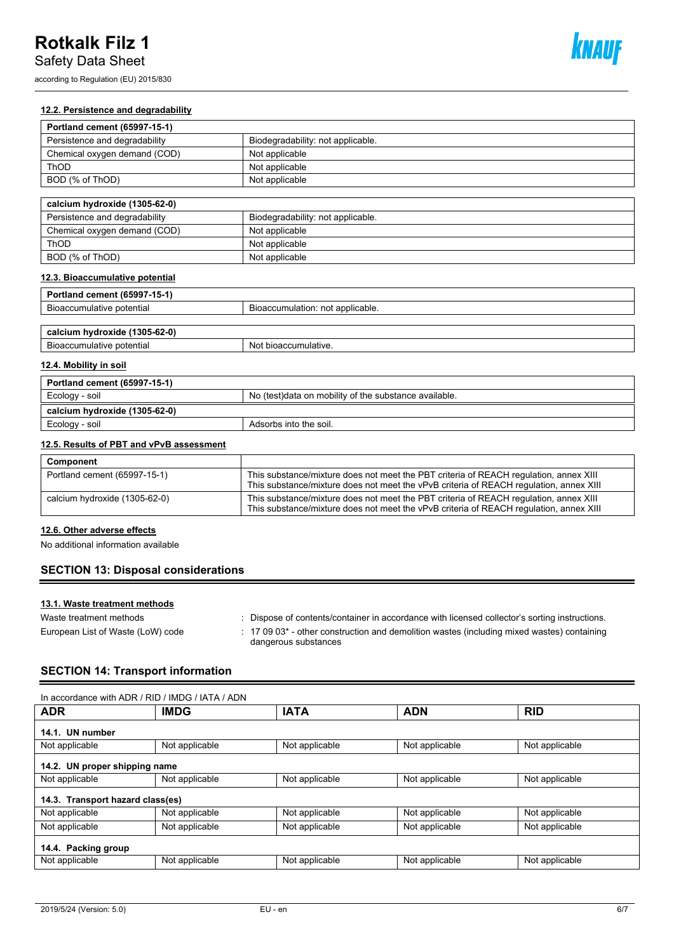Safety Data Sheet

according to Regulation (EU) 2015/830



# **12.2. Persistence and degradability**

| Portland cement (65997-15-1)  |                                   |  |
|-------------------------------|-----------------------------------|--|
| Persistence and degradability | Biodegradability: not applicable. |  |
| Chemical oxygen demand (COD)  | Not applicable                    |  |
| ThOD                          | Not applicable                    |  |
| BOD (% of ThOD)               | Not applicable                    |  |
|                               |                                   |  |

| calcium hydroxide (1305-62-0) |                                   |  |
|-------------------------------|-----------------------------------|--|
| Persistence and degradability | Biodegradability: not applicable. |  |
| Chemical oxygen demand (COD)  | Not applicable                    |  |
| ThOD                          | Not applicable                    |  |
| BOD (% of ThOD)               | Not applicable                    |  |

# **12.3. Bioaccumulative potential**

| Portland cement (65997-15-1)  |                                  |
|-------------------------------|----------------------------------|
| Bioaccumulative potential     | Bioaccumulation: not applicable. |
|                               |                                  |
| calcium hydroxide (1305-62-0) |                                  |
| Bioaccumulative potential     | Not bioaccumulative.             |

# **12.4. Mobility in soil**

| Portland cement (65997-15-1)  |                                                        |  |
|-------------------------------|--------------------------------------------------------|--|
| Ecology - soil                | No (test) data on mobility of the substance available. |  |
| calcium hydroxide (1305-62-0) |                                                        |  |
| Ecology - soil                | Adsorbs into the soil.                                 |  |

### **12.5. Results of PBT and vPvB assessment**

| Component                     |                                                                                                                                                                                 |
|-------------------------------|---------------------------------------------------------------------------------------------------------------------------------------------------------------------------------|
| Portland cement (65997-15-1)  | This substance/mixture does not meet the PBT criteria of REACH regulation, annex XIII<br>This substance/mixture does not meet the vPvB criteria of REACH regulation, annex XIII |
| calcium hydroxide (1305-62-0) | This substance/mixture does not meet the PBT criteria of REACH regulation, annex XIII<br>This substance/mixture does not meet the vPvB criteria of REACH regulation, annex XIII |

### **12.6. Other adverse effects**

No additional information available

# **SECTION 13: Disposal considerations**

# **13.1. Waste treatment methods**

| Waste treatment methods           | : Dispose of contents/container in accordance with licensed collector's sorting instructions.                                      |
|-----------------------------------|------------------------------------------------------------------------------------------------------------------------------------|
| European List of Waste (LoW) code | $\pm$ 17 09 03 <sup>*</sup> - other construction and demolition wastes (including mixed wastes) containing<br>dangerous substances |

# **SECTION 14: Transport information**

| In accordance with ADR / RID / IMDG / IATA / ADN |                |                |                |                |  |  |
|--------------------------------------------------|----------------|----------------|----------------|----------------|--|--|
| <b>ADR</b>                                       | <b>IMDG</b>    | <b>IATA</b>    | <b>ADN</b>     | <b>RID</b>     |  |  |
| 14.1. UN number                                  |                |                |                |                |  |  |
| Not applicable                                   | Not applicable | Not applicable | Not applicable | Not applicable |  |  |
| 14.2. UN proper shipping name                    |                |                |                |                |  |  |
| Not applicable                                   | Not applicable | Not applicable | Not applicable | Not applicable |  |  |
| 14.3. Transport hazard class(es)                 |                |                |                |                |  |  |
| Not applicable                                   | Not applicable | Not applicable | Not applicable | Not applicable |  |  |
| Not applicable                                   | Not applicable | Not applicable | Not applicable | Not applicable |  |  |
| 14.4. Packing group                              |                |                |                |                |  |  |
| Not applicable                                   | Not applicable | Not applicable | Not applicable | Not applicable |  |  |
|                                                  |                |                |                |                |  |  |